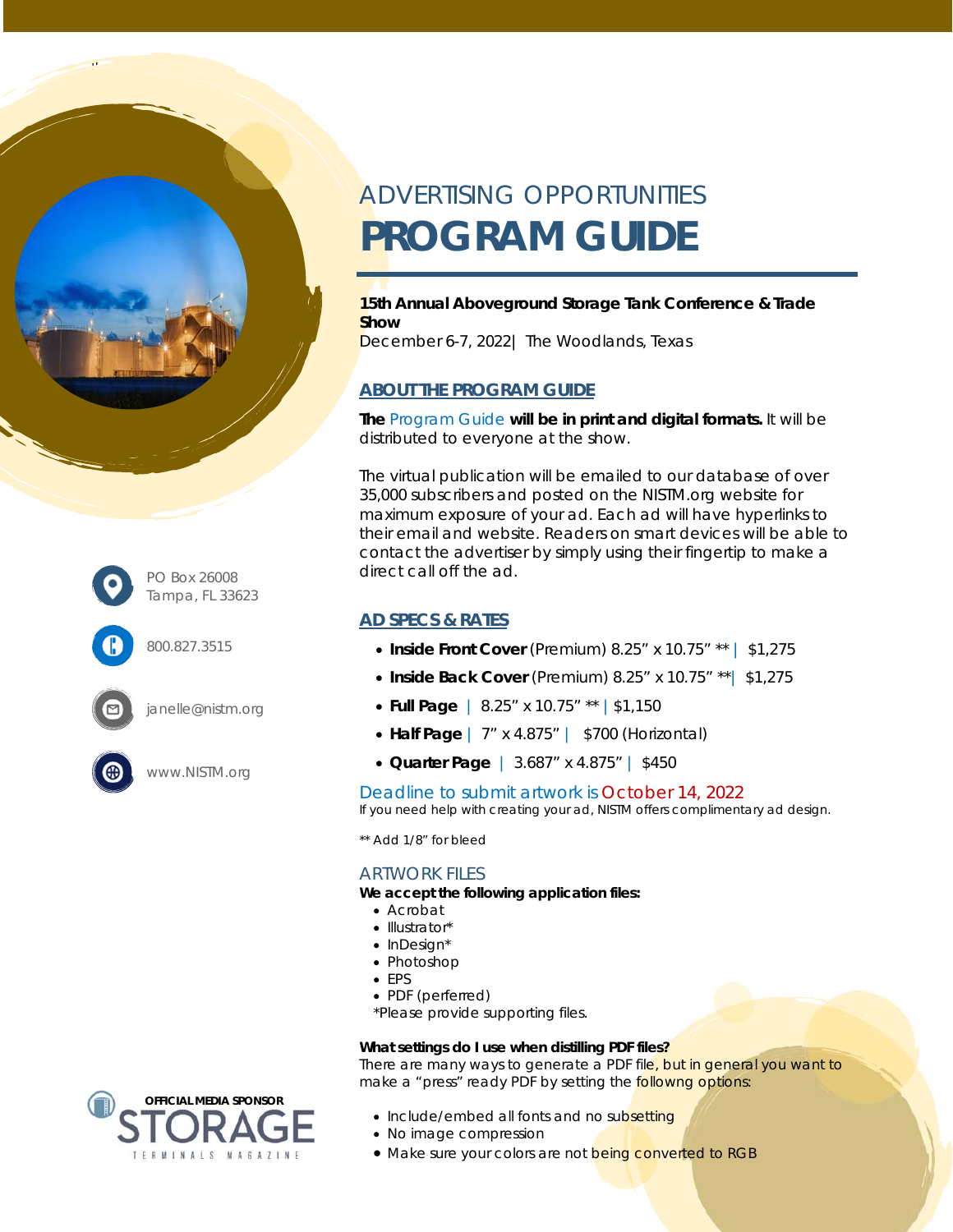



800.827.3515



www.NISTM.org

# ADVERTISING OPPORTUNITIES **PROGRAM GUIDE**

### **15th Annual Aboveground Storage Tank Conference & Trade Show**

December 6-7, 2022| The Woodlands, Texas

## **ABOUT THE PROGRAM GUIDE**

**The** Program Guide **will be in print and digital formats.** It will be distributed to everyone at the show.

The virtual publication will be emailed to our database of over 35,000 subscribers and posted on the NISTM.org website for maximum exposure of your ad. Each ad will have hyperlinks to their email and website. Readers on smart devices will be able to contact the advertiser by simply using their fingertip to make a direct call off the ad.

## **AD SPECS & RATES**

- **Inside Front Cover** (Premium) 8.25" x 10.75" \*\* | \$1,275
- **Inside Back Cover** (Premium) 8.25" x 10.75" \*\*| \$1,275
- **Full Page** | 8.25" x 10.75" \*\* |\$1,150
- **Half Page** | 7" x 4.875" | \$700 (Horizontal)
- **Quarter Page** | 3.687" x 4.875" | \$450

### Deadline to submit artwork is October 14, 2022

*If you need help with creating your ad, NISTM offers complimentary ad design.* 

\*\* Add 1/8" for bleed

### ARTWORK FILES

**We accept the following application files:** 

- Acrobat
- Illustrator\*
- $\bullet$  InDesian\*
- Photoshop
- EPS
- PDF (perferred)

\*Please provide supporting files.

#### **What settings do I use when distilling PDF files?**

There are many ways to generate a PDF file, but in general you want to make a "press" ready PDF by setting the followng options:

- Include/embed all fonts and no subsetting
- No image compression
- Make sure your colors are not being converted to RGB